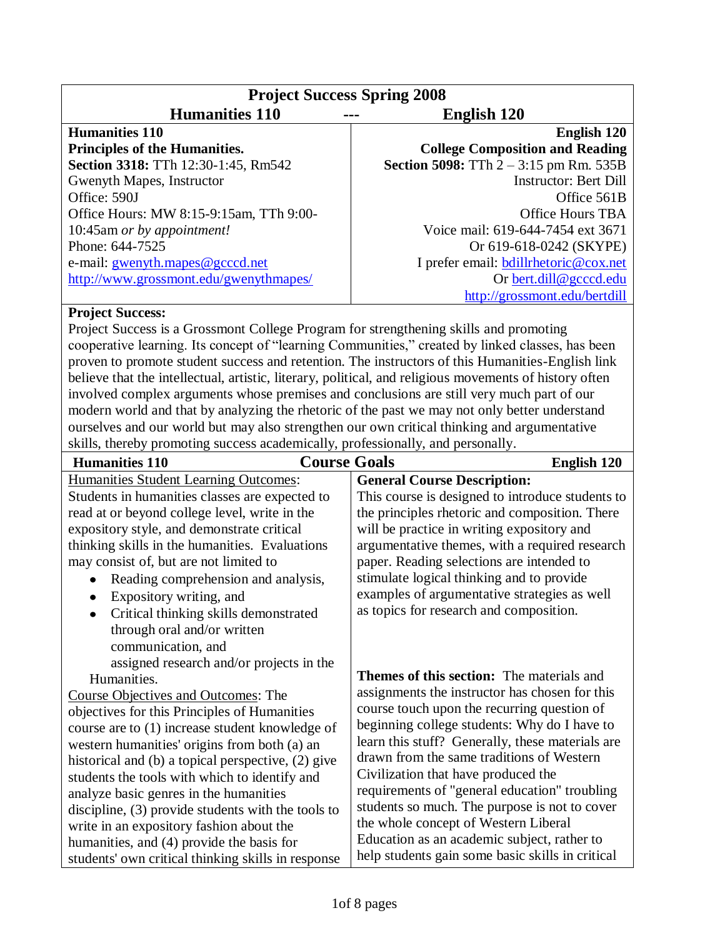| <b>Project Success Spring 2008</b>      |                                                 |
|-----------------------------------------|-------------------------------------------------|
| <b>Humanities 110</b>                   | <b>English 120</b>                              |
| <b>Humanities 110</b>                   | English 120                                     |
| <b>Principles of the Humanities.</b>    | <b>College Composition and Reading</b>          |
| Section 3318: TTh 12:30-1:45, Rm542     | <b>Section 5098:</b> TTh $2 - 3:15$ pm Rm. 535B |
| Gwenyth Mapes, Instructor               | <b>Instructor: Bert Dill</b>                    |
| Office: 590J                            | Office 561B                                     |
| Office Hours: MW 8:15-9:15am, TTh 9:00- | Office Hours TBA                                |
| 10:45am or by appointment!              | Voice mail: 619-644-7454 ext 3671               |
| Phone: 644-7525                         | Or 619-618-0242 (SKYPE)                         |
| e-mail: gwenyth.mapes@gcccd.net         | I prefer email: <b>bdillrhetoric@cox.net</b>    |
| http://www.grossmont.edu/gwenythmapes/  | Or bert.dill@gcccd.edu                          |
|                                         | http://grossmont.edu/bertdill                   |

#### **Project Success:**

Project Success is a Grossmont College Program for strengthening skills and promoting cooperative learning. Its concept of "learning Communities," created by linked classes, has been proven to promote student success and retention. The instructors of this Humanities-English link believe that the intellectual, artistic, literary, political, and religious movements of history often involved complex arguments whose premises and conclusions are still very much part of our modern world and that by analyzing the rhetoric of the past we may not only better understand ourselves and our world but may also strengthen our own critical thinking and argumentative skills, thereby promoting success academically, professionally, and personally.

| <b>Humanities 110</b>                                                                                                                                                                                                                                                                                                                                                                                                                                                                                                                                                | <b>Course Goals</b>                                                                                                                                                                                                                                                                                                                                                                                                                                                                                                                                                                    | English 120                                                                                        |
|----------------------------------------------------------------------------------------------------------------------------------------------------------------------------------------------------------------------------------------------------------------------------------------------------------------------------------------------------------------------------------------------------------------------------------------------------------------------------------------------------------------------------------------------------------------------|----------------------------------------------------------------------------------------------------------------------------------------------------------------------------------------------------------------------------------------------------------------------------------------------------------------------------------------------------------------------------------------------------------------------------------------------------------------------------------------------------------------------------------------------------------------------------------------|----------------------------------------------------------------------------------------------------|
| <b>Humanities Student Learning Outcomes:</b><br>Students in humanities classes are expected to<br>read at or beyond college level, write in the<br>expository style, and demonstrate critical<br>thinking skills in the humanities. Evaluations<br>may consist of, but are not limited to                                                                                                                                                                                                                                                                            | <b>General Course Description:</b><br>the principles rhetoric and composition. There<br>will be practice in writing expository and<br>paper. Reading selections are intended to                                                                                                                                                                                                                                                                                                                                                                                                        | This course is designed to introduce students to<br>argumentative themes, with a required research |
| Reading comprehension and analysis,<br>$\bullet$<br>Expository writing, and<br>$\bullet$<br>Critical thinking skills demonstrated<br>$\bullet$<br>through oral and/or written<br>communication, and<br>assigned research and/or projects in the                                                                                                                                                                                                                                                                                                                      | stimulate logical thinking and to provide<br>examples of argumentative strategies as well<br>as topics for research and composition.                                                                                                                                                                                                                                                                                                                                                                                                                                                   |                                                                                                    |
| Humanities.<br><b>Course Objectives and Outcomes: The</b><br>objectives for this Principles of Humanities<br>course are to (1) increase student knowledge of<br>western humanities' origins from both (a) an<br>historical and (b) a topical perspective, (2) give<br>students the tools with which to identify and<br>analyze basic genres in the humanities<br>discipline, $(3)$ provide students with the tools to<br>write in an expository fashion about the<br>humanities, and (4) provide the basis for<br>students' own critical thinking skills in response | <b>Themes of this section:</b> The materials and<br>assignments the instructor has chosen for this<br>course touch upon the recurring question of<br>beginning college students: Why do I have to<br>learn this stuff? Generally, these materials are<br>drawn from the same traditions of Western<br>Civilization that have produced the<br>requirements of "general education" troubling<br>students so much. The purpose is not to cover<br>the whole concept of Western Liberal<br>Education as an academic subject, rather to<br>help students gain some basic skills in critical |                                                                                                    |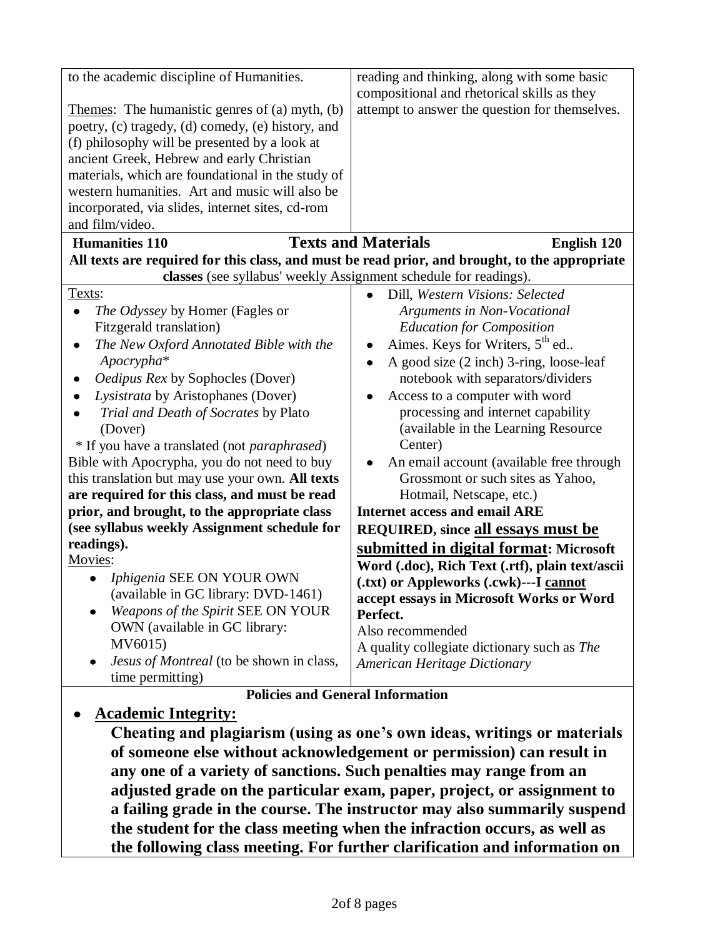| to the academic discipline of Humanities.<br>Themes: The humanistic genres of (a) myth, (b)<br>poetry, (c) tragedy, (d) comedy, (e) history, and<br>(f) philosophy will be presented by a look at<br>ancient Greek, Hebrew and early Christian<br>materials, which are foundational in the study of<br>western humanities. Art and music will also be<br>incorporated, via slides, internet sites, cd-rom<br>and film/video.                                                                                                                                                                                                                                                                      | reading and thinking, along with some basic<br>compositional and rhetorical skills as they<br>attempt to answer the question for themselves.                                                                                                                                                                                                                                                                                                                                                                                                                                                                                                                                                                                                                              |  |
|---------------------------------------------------------------------------------------------------------------------------------------------------------------------------------------------------------------------------------------------------------------------------------------------------------------------------------------------------------------------------------------------------------------------------------------------------------------------------------------------------------------------------------------------------------------------------------------------------------------------------------------------------------------------------------------------------|---------------------------------------------------------------------------------------------------------------------------------------------------------------------------------------------------------------------------------------------------------------------------------------------------------------------------------------------------------------------------------------------------------------------------------------------------------------------------------------------------------------------------------------------------------------------------------------------------------------------------------------------------------------------------------------------------------------------------------------------------------------------------|--|
| <b>Humanities 110</b>                                                                                                                                                                                                                                                                                                                                                                                                                                                                                                                                                                                                                                                                             | <b>Texts and Materials</b><br>English 120                                                                                                                                                                                                                                                                                                                                                                                                                                                                                                                                                                                                                                                                                                                                 |  |
| All texts are required for this class, and must be read prior, and brought, to the appropriate<br>classes (see syllabus' weekly Assignment schedule for readings).                                                                                                                                                                                                                                                                                                                                                                                                                                                                                                                                |                                                                                                                                                                                                                                                                                                                                                                                                                                                                                                                                                                                                                                                                                                                                                                           |  |
| Texts:<br>The Odyssey by Homer (Fagles or<br>Fitzgerald translation)<br>The New Oxford Annotated Bible with the<br>Apocrypha*<br>Oedipus Rex by Sophocles (Dover)<br>Lysistrata by Aristophanes (Dover)<br>Trial and Death of Socrates by Plato<br>(Dover)<br>* If you have a translated (not paraphrased)<br>Bible with Apocrypha, you do not need to buy<br>this translation but may use your own. All texts<br>are required for this class, and must be read<br>prior, and brought, to the appropriate class<br>(see syllabus weekly Assignment schedule for<br>readings).<br>Movies:<br>Iphigenia SEE ON YOUR OWN<br>(available in GC library: DVD-1461)<br>Weapons of the Spirit SEE ON YOUR | Dill, Western Visions: Selected<br>Arguments in Non-Vocational<br><b>Education for Composition</b><br>Aimes. Keys for Writers, 5 <sup>th</sup> ed<br>A good size (2 inch) 3-ring, loose-leaf<br>$\bullet$<br>notebook with separators/dividers<br>Access to a computer with word<br>processing and internet capability<br>(available in the Learning Resource<br>Center)<br>An email account (available free through<br>Grossmont or such sites as Yahoo,<br>Hotmail, Netscape, etc.)<br><b>Internet access and email ARE</b><br><b>REQUIRED, since all essays must be</b><br>submitted in digital format: Microsoft<br>Word (.doc), Rich Text (.rtf), plain text/ascii<br>(.txt) or Appleworks (.cwk)---I cannot<br>accept essays in Microsoft Works or Word<br>Perfect. |  |
| OWN (available in GC library:<br>MV6015)                                                                                                                                                                                                                                                                                                                                                                                                                                                                                                                                                                                                                                                          | Also recommended                                                                                                                                                                                                                                                                                                                                                                                                                                                                                                                                                                                                                                                                                                                                                          |  |
| Jesus of Montreal (to be shown in class,                                                                                                                                                                                                                                                                                                                                                                                                                                                                                                                                                                                                                                                          | A quality collegiate dictionary such as The<br><b>American Heritage Dictionary</b>                                                                                                                                                                                                                                                                                                                                                                                                                                                                                                                                                                                                                                                                                        |  |
| time permitting)                                                                                                                                                                                                                                                                                                                                                                                                                                                                                                                                                                                                                                                                                  |                                                                                                                                                                                                                                                                                                                                                                                                                                                                                                                                                                                                                                                                                                                                                                           |  |
| <b>Policies and General Information</b>                                                                                                                                                                                                                                                                                                                                                                                                                                                                                                                                                                                                                                                           |                                                                                                                                                                                                                                                                                                                                                                                                                                                                                                                                                                                                                                                                                                                                                                           |  |

### **Academic Integrity:**

**Cheating and plagiarism (using as one's own ideas, writings or materials of someone else without acknowledgement or permission) can result in any one of a variety of sanctions. Such penalties may range from an adjusted grade on the particular exam, paper, project, or assignment to a failing grade in the course. The instructor may also summarily suspend the student for the class meeting when the infraction occurs, as well as the following class meeting. For further clarification and information on**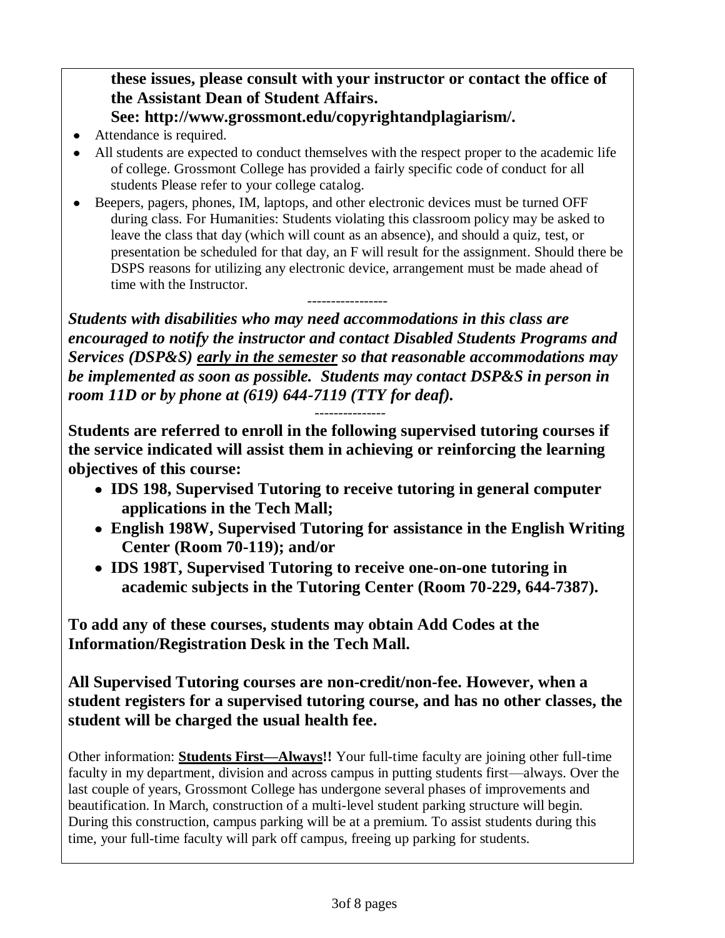## **these issues, please consult with your instructor or contact the office of the Assistant Dean of Student Affairs.**

## **See: http://www.grossmont.edu/copyrightandplagiarism/.**

- Attendance is required.
- All students are expected to conduct themselves with the respect proper to the academic life of college. Grossmont College has provided a fairly specific code of conduct for all students Please refer to your college catalog.
- Beepers, pagers, phones, IM, laptops, and other electronic devices must be turned OFF during class. For Humanities: Students violating this classroom policy may be asked to leave the class that day (which will count as an absence), and should a quiz, test, or presentation be scheduled for that day, an F will result for the assignment. Should there be DSPS reasons for utilizing any electronic device, arrangement must be made ahead of time with the Instructor. -----------------

*Students with disabilities who may need accommodations in this class are encouraged to notify the instructor and contact Disabled Students Programs and Services (DSP&S) early in the semester so that reasonable accommodations may be implemented as soon as possible. Students may contact DSP&S in person in room 11D or by phone at (619) 644-7119 (TTY for deaf).*

---------------

**Students are referred to enroll in the following supervised tutoring courses if the service indicated will assist them in achieving or reinforcing the learning objectives of this course:**

- **IDS 198, Supervised Tutoring to receive tutoring in general computer applications in the Tech Mall;**
- **English 198W, Supervised Tutoring for assistance in the English Writing Center (Room 70-119); and/or**
- **IDS 198T, Supervised Tutoring to receive one-on-one tutoring in academic subjects in the Tutoring Center (Room 70-229, 644-7387).**

**To add any of these courses, students may obtain Add Codes at the Information/Registration Desk in the Tech Mall.**

**All Supervised Tutoring courses are non-credit/non-fee. However, when a student registers for a supervised tutoring course, and has no other classes, the student will be charged the usual health fee.**

Other information: **Students First—Always!!** Your full-time faculty are joining other full-time faculty in my department, division and across campus in putting students first—always. Over the last couple of years, Grossmont College has undergone several phases of improvements and beautification. In March, construction of a multi-level student parking structure will begin. During this construction, campus parking will be at a premium. To assist students during this time, your full-time faculty will park off campus, freeing up parking for students.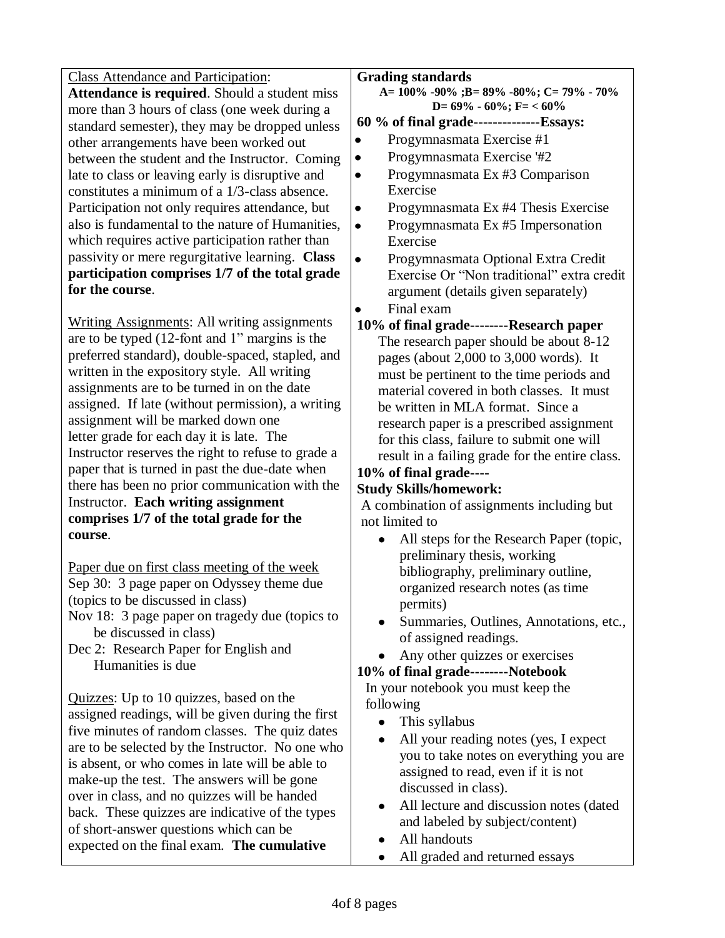Class Attendance and Participation: **Attendance is required**. Should a student miss more than 3 hours of class (one week during a standard semester), they may be dropped unless other arrangements have been worked out between the student and the Instructor. Coming late to class or leaving early is disruptive and constitutes a minimum of a 1/3-class absence. Participation not only requires attendance, but also is fundamental to the nature of Humanities, which requires active participation rather than passivity or mere regurgitative learning. **Class participation comprises 1/7 of the total grade for the course**.

Writing Assignments: All writing assignments are to be typed  $(12$ -font and 1" margins is the preferred standard), double-spaced, stapled, and written in the expository style. All writing assignments are to be turned in on the date assigned. If late (without permission), a writing assignment will be marked down one letter grade for each day it is late. The Instructor reserves the right to refuse to grade a paper that is turned in past the due-date when there has been no prior communication with the Instructor. **Each writing assignment comprises 1/7 of the total grade for the course**.

Paper due on first class meeting of the week Sep 30: 3 page paper on Odyssey theme due (topics to be discussed in class) Nov 18: 3 page paper on tragedy due (topics to

be discussed in class) Dec 2: Research Paper for English and

Humanities is due

Quizzes: Up to 10 quizzes, based on the assigned readings, will be given during the first five minutes of random classes. The quiz dates are to be selected by the Instructor. No one who is absent, or who comes in late will be able to make-up the test. The answers will be gone over in class, and no quizzes will be handed back. These quizzes are indicative of the types of short-answer questions which can be expected on the final exam. **The cumulative** 

#### **Grading standards**

**A= 100% -90% ;B= 89% -80%; C= 79% - 70% D= 69% - 60%; F= < 60%**

#### **60 % of final grade--------------Essays:**

- Progymnasmata Exercise #1
- $\bullet$ Progymnasmata Exercise '#2
- Progymnasmata Ex #3 Comparison Exercise
- $\bullet$ Progymnasmata Ex #4 Thesis Exercise
	- Progymnasmata Ex #5 Impersonation Exercise
- Progymnasmata Optional Extra Credit Exercise Or "Non traditional" extra credit argument (details given separately)
- Final exam
- **10% of final grade--------Research paper** The research paper should be about 8-12 pages (about 2,000 to 3,000 words). It must be pertinent to the time periods and material covered in both classes. It must be written in MLA format. Since a research paper is a prescribed assignment for this class, failure to submit one will result in a failing grade for the entire class.

#### **10% of final grade---- Study Skills/homework:**

# A combination of assignments including but

- not limited to
	- All steps for the Research Paper (topic,  $\bullet$ preliminary thesis, working bibliography, preliminary outline, organized research notes (as time permits)
	- Summaries, Outlines, Annotations, etc., of assigned readings.
	- Any other quizzes or exercises

#### **10% of final grade--------Notebook**

In your notebook you must keep the following

- This syllabus
- All your reading notes (yes, I expect  $\bullet$ you to take notes on everything you are assigned to read, even if it is not discussed in class).
- All lecture and discussion notes (dated and labeled by subject/content)
- All handouts
- All graded and returned essays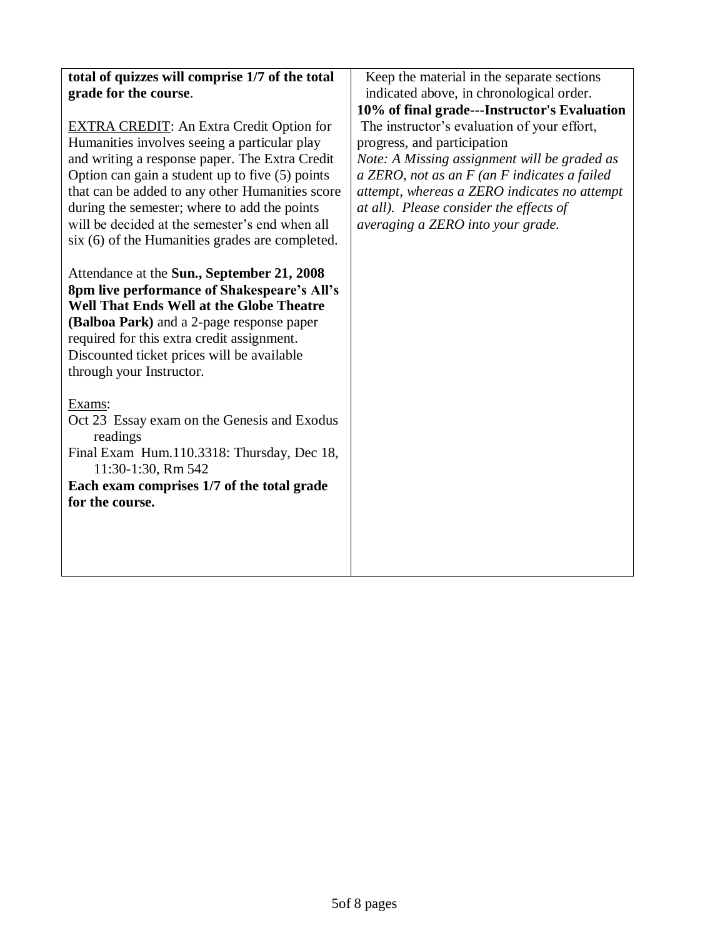| Keep the material in the separate sections<br>indicated above, in chronological order.                                                                                                                                                                                                                           |
|------------------------------------------------------------------------------------------------------------------------------------------------------------------------------------------------------------------------------------------------------------------------------------------------------------------|
| 10% of final grade---Instructor's Evaluation                                                                                                                                                                                                                                                                     |
| The instructor's evaluation of your effort,<br>progress, and participation<br>Note: A Missing assignment will be graded as<br>$a$ ZERO, not as an $F$ (an $F$ indicates a failed<br>attempt, whereas a ZERO indicates no attempt<br>at all). Please consider the effects of<br>averaging a ZERO into your grade. |
|                                                                                                                                                                                                                                                                                                                  |
|                                                                                                                                                                                                                                                                                                                  |
|                                                                                                                                                                                                                                                                                                                  |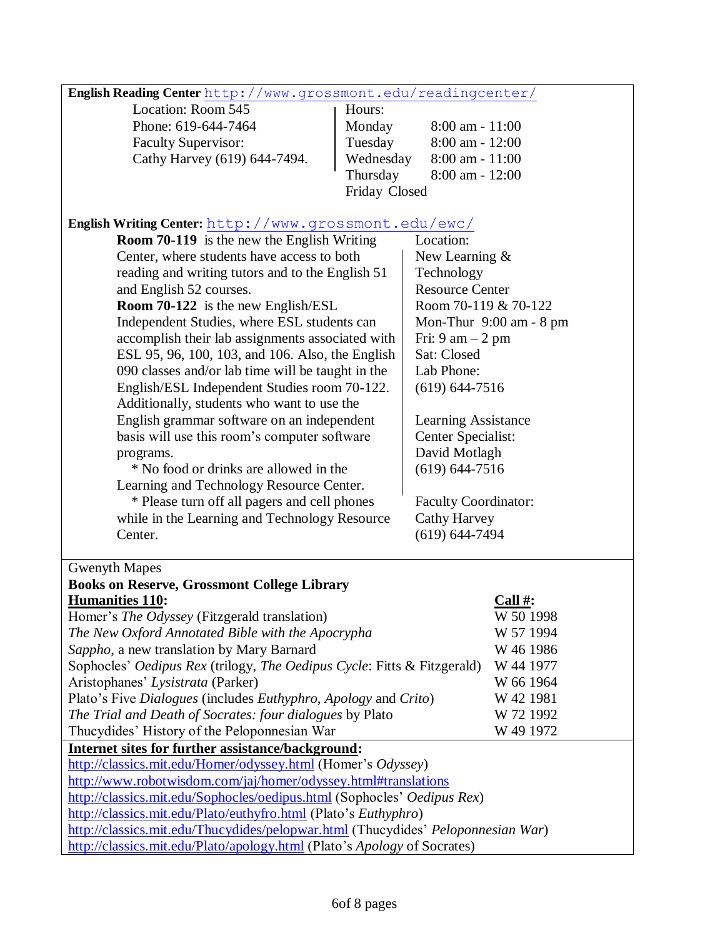| English Reading Center http://www.grossmont.edu/readingcenter/                                                                             |                                                                        |                                    |  |
|--------------------------------------------------------------------------------------------------------------------------------------------|------------------------------------------------------------------------|------------------------------------|--|
| Location: Room 545                                                                                                                         | Hours:                                                                 |                                    |  |
| Phone: 619-644-7464                                                                                                                        | Monday                                                                 | $8:00$ am - $11:00$                |  |
| <b>Faculty Supervisor:</b>                                                                                                                 | Tuesday                                                                | $8:00$ am - $12:00$                |  |
| Cathy Harvey (619) 644-7494.                                                                                                               | Wednesday                                                              | 8:00 am - 11:00                    |  |
|                                                                                                                                            | Thursday                                                               | 8:00 am - 12:00                    |  |
|                                                                                                                                            | Friday Closed                                                          |                                    |  |
|                                                                                                                                            |                                                                        |                                    |  |
| English Writing Center: http://www.grossmont.edu/ewc/                                                                                      |                                                                        |                                    |  |
| <b>Room 70-119</b> is the new the English Writing                                                                                          |                                                                        | Location:                          |  |
| Center, where students have access to both                                                                                                 |                                                                        | New Learning &                     |  |
| reading and writing tutors and to the English 51                                                                                           |                                                                        | Technology                         |  |
| and English 52 courses.                                                                                                                    |                                                                        | <b>Resource Center</b>             |  |
| Room 70-122 is the new English/ESL                                                                                                         |                                                                        | Room 70-119 & 70-122               |  |
|                                                                                                                                            | Independent Studies, where ESL students can<br>Mon-Thur 9:00 am - 8 pm |                                    |  |
| accomplish their lab assignments associated with                                                                                           |                                                                        | Fri: $9 \text{ am} - 2 \text{ pm}$ |  |
| ESL 95, 96, 100, 103, and 106. Also, the English                                                                                           |                                                                        | Sat: Closed                        |  |
| 090 classes and/or lab time will be taught in the                                                                                          |                                                                        | Lab Phone:                         |  |
| English/ESL Independent Studies room 70-122.                                                                                               |                                                                        | $(619) 644 - 7516$                 |  |
| Additionally, students who want to use the                                                                                                 |                                                                        |                                    |  |
| English grammar software on an independent                                                                                                 |                                                                        | Learning Assistance                |  |
| basis will use this room's computer software                                                                                               |                                                                        | Center Specialist:                 |  |
| programs.                                                                                                                                  |                                                                        | David Motlagh                      |  |
| * No food or drinks are allowed in the                                                                                                     |                                                                        | $(619) 644 - 7516$                 |  |
| Learning and Technology Resource Center.                                                                                                   |                                                                        |                                    |  |
| * Please turn off all pagers and cell phones                                                                                               |                                                                        | Faculty Coordinator:               |  |
| while in the Learning and Technology Resource                                                                                              |                                                                        | <b>Cathy Harvey</b>                |  |
| Center.                                                                                                                                    |                                                                        | $(619) 644 - 7494$                 |  |
|                                                                                                                                            |                                                                        |                                    |  |
| <b>Gwenyth Mapes</b>                                                                                                                       |                                                                        |                                    |  |
| <b>Books on Reserve, Grossmont College Library</b>                                                                                         |                                                                        |                                    |  |
| <b>Humanities 110:</b>                                                                                                                     |                                                                        | Call #:                            |  |
| Homer's The Odyssey (Fitzgerald translation)                                                                                               |                                                                        | W 50 1998                          |  |
| The New Oxford Annotated Bible with the Apocrypha                                                                                          |                                                                        | W 57 1994                          |  |
| Sappho, a new translation by Mary Barnard                                                                                                  |                                                                        | W 46 1986                          |  |
| Sophocles' Oedipus Rex (trilogy, The Oedipus Cycle: Fitts & Fitzgerald)<br>W 44 1977                                                       |                                                                        |                                    |  |
| Aristophanes' Lysistrata (Parker)                                                                                                          |                                                                        | W 66 1964                          |  |
| Plato's Five Dialogues (includes Euthyphro, Apology and Crito)                                                                             |                                                                        | W 42 1981                          |  |
| The Trial and Death of Socrates: four dialogues by Plato                                                                                   |                                                                        | W 72 1992                          |  |
| Thucydides' History of the Peloponnesian War                                                                                               |                                                                        | W 49 1972                          |  |
| Internet sites for further assistance/background:                                                                                          |                                                                        |                                    |  |
| http://classics.mit.edu/Homer/odyssey.html (Homer's Odyssey)                                                                               |                                                                        |                                    |  |
| http://www.robotwisdom.com/jaj/homer/odyssey.html#translations                                                                             |                                                                        |                                    |  |
| http://classics.mit.edu/Sophocles/oedipus.html (Sophocles' Oedipus Rex)<br>http://classics.mit.edu/Plato/euthyfro.html (Plato's Euthyphro) |                                                                        |                                    |  |
| http://classics.mit.edu/Thucydides/pelopwar.html (Thucydides' Peloponnesian War)                                                           |                                                                        |                                    |  |
| http://classics.mit.edu/Plato/apology.html (Plato's Apology of Socrates)                                                                   |                                                                        |                                    |  |
|                                                                                                                                            |                                                                        |                                    |  |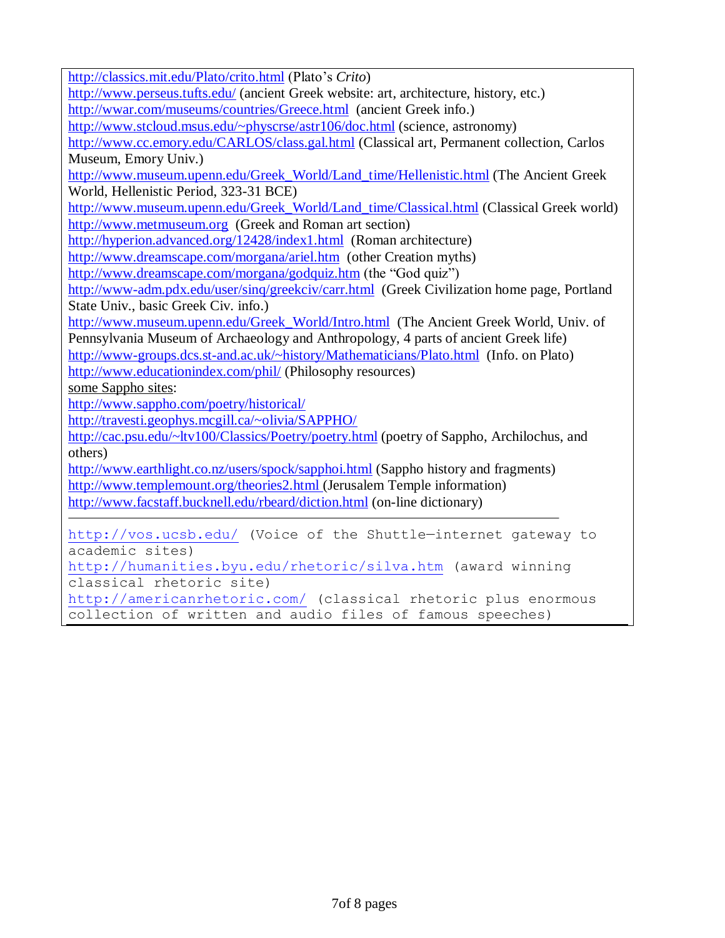<http://classics.mit.edu/Plato/crito.html> (Plato's *Crito*)

<http://www.perseus.tufts.edu/> (ancient Greek website: art, architecture, history, etc.) <http://wwar.com/museums/countries/Greece.html>(ancient Greek info.)

<http://www.stcloud.msus.edu/~physcrse/astr106/doc.html> (science, astronomy)

<http://www.cc.emory.edu/CARLOS/class.gal.html> (Classical art, Permanent collection, Carlos Museum, Emory Univ.)

[http://www.museum.upenn.edu/Greek\\_World/Land\\_time/Hellenistic.html](http://www.museum.upenn.edu/Greek_World/Land_time/Hellenistic.html) (The Ancient Greek World, Hellenistic Period, 323-31 BCE)

[http://www.museum.upenn.edu/Greek\\_World/Land\\_time/Classical.html](http://www.museum.upenn.edu/Greek_World/Land_time/Classical.html) (Classical Greek world) [http://www.metmuseum.org](http://www.metmuseum.org/) (Greek and Roman art section)

<http://hyperion.advanced.org/12428/index1.html>(Roman architecture)

<http://www.dreamscape.com/morgana/ariel.htm>(other Creation myths)

<http://www.dreamscape.com/morgana/godquiz.htm> (the "God quiz")

<http://www-adm.pdx.edu/user/sinq/greekciv/carr.html>(Greek Civilization home page, Portland State Univ., basic Greek Civ. info.)

[http://www.museum.upenn.edu/Greek\\_World/Intro.html](http://www.museum.upenn.edu/Greek_World/Intro.html) (The Ancient Greek World, Univ. of Pennsylvania Museum of Archaeology and Anthropology, 4 parts of ancient Greek life) <http://www-groups.dcs.st-and.ac.uk/~history/Mathematicians/Plato.html>(Info. on Plato)

<http://www.educationindex.com/phil/> (Philosophy resources)

some Sappho sites:

<http://www.sappho.com/poetry/historical/>

<http://travesti.geophys.mcgill.ca/~olivia/SAPPHO/>

<http://cac.psu.edu/~ltv100/Classics/Poetry/poetry.html> (poetry of Sappho, Archilochus, and others)

<http://www.earthlight.co.nz/users/spock/sapphoi.html> (Sappho history and fragments) <http://www.templemount.org/theories2.html> (Jerusalem Temple information) <http://www.facstaff.bucknell.edu/rbeard/diction.html> (on-line dictionary)

<http://vos.ucsb.edu/> (Voice of the Shuttle—internet gateway to academic sites)

<http://humanities.byu.edu/rhetoric/silva.htm> (award winning classical rhetoric site)

<http://americanrhetoric.com/> (classical rhetoric plus enormous collection of written and audio files of famous speeches)